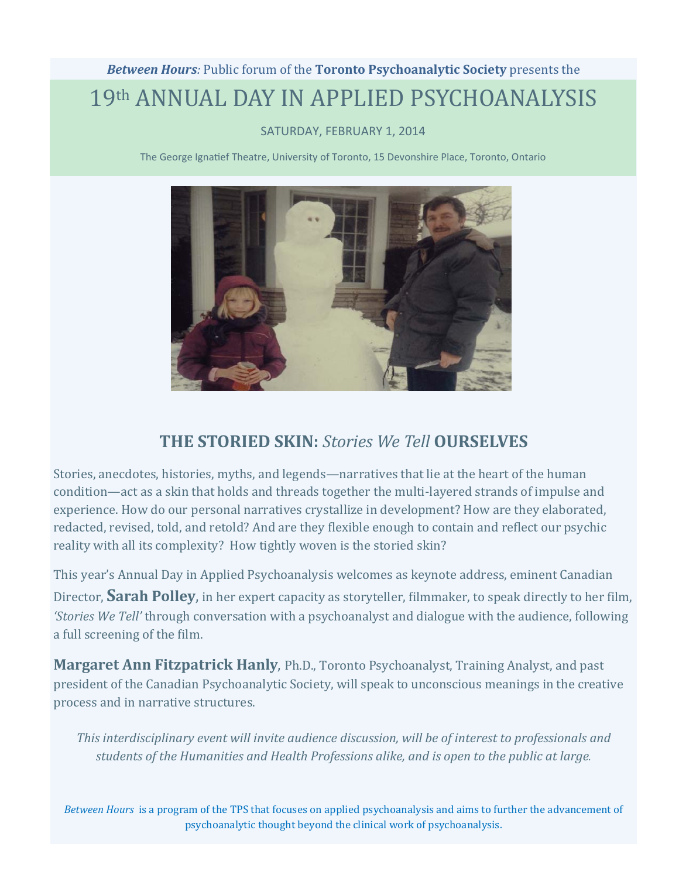# **Between Hours:** Public forum of the **Toronto Psychoanalytic Society** presents the 19th ANNUAL DAY IN APPLIED PSYCHOANALYSIS

## SATURDAY, FEBRUARY 1, 2014

The George Ignatief Theatre, University of Toronto, 15 Devonshire Place, Toronto, Ontario



# **THE STORIED SKIN:** *Stories We Tell* **OURSELVES**

Stories, anecdotes, histories, myths, and legends—narratives that lie at the heart of the human condition—act as a skin that holds and threads together the multi-layered strands of impulse and experience. How do our personal narratives crystallize in development? How are they elaborated, redacted, revised, told, and retold? And are they flexible enough to contain and reflect our psychic reality with all its complexity? How tightly woven is the storied skin?

This year's Annual Day in Applied Psychoanalysis welcomes as keynote address, eminent Canadian Director, **Sarah Polley**, in her expert capacity as storyteller, filmmaker, to speak directly to her film, *'Stories We Tell'* through conversation with a psychoanalyst and dialogue with the audience, following a full screening of the film.

**Margaret Ann Fitzpatrick Hanly,** Ph.D., Toronto Psychoanalyst, Training Analyst, and past president of the Canadian Psychoanalytic Society, will speak to unconscious meanings in the creative process and in narrative structures.

*This interdisciplinary event will invite audience discussion, will be of interest to professionals and students of the Humanities and Health Professions alike, and is open to the public at large.*

*Between Hours* is a program of the TPS that focuses on applied psychoanalysis and aims to further the advancement of psychoanalytic thought beyond the clinical work of psychoanalysis.